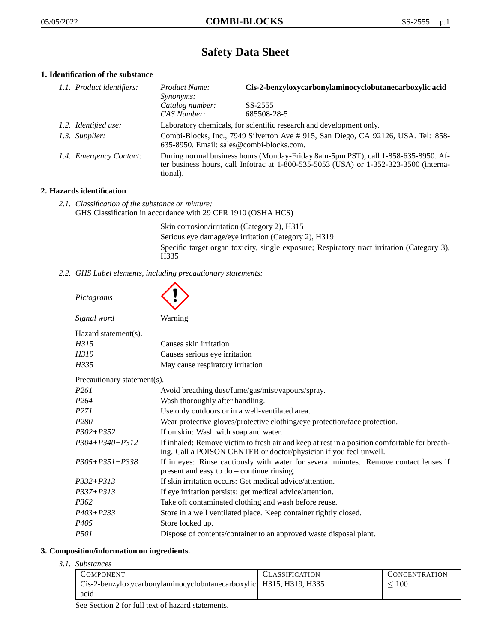# **Safety Data Sheet**

## **1. Identification of the substance**

| 1.1. Product identifiers: | Product Name:<br>Synonyms:                                                                                                                                                                  | Cis-2-benzyloxycarbonylaminocyclobutanecarboxylic acid |
|---------------------------|---------------------------------------------------------------------------------------------------------------------------------------------------------------------------------------------|--------------------------------------------------------|
|                           | Catalog number:<br>CAS Number:                                                                                                                                                              | SS-2555<br>685508-28-5                                 |
| 1.2. Identified use:      | Laboratory chemicals, for scientific research and development only.                                                                                                                         |                                                        |
| 1.3. Supplier:            | Combi-Blocks, Inc., 7949 Silverton Ave # 915, San Diego, CA 92126, USA. Tel: 858-<br>635-8950. Email: sales@combi-blocks.com.                                                               |                                                        |
| 1.4. Emergency Contact:   | During normal business hours (Monday-Friday 8am-5pm PST), call 1-858-635-8950. Af-<br>ter business hours, call Infotrac at $1-800-535-5053$ (USA) or $1-352-323-3500$ (interna-<br>tional). |                                                        |

#### **2. Hazards identification**

*2.1. Classification of the substance or mixture:* GHS Classification in accordance with 29 CFR 1910 (OSHA HCS)

> Skin corrosion/irritation (Category 2), H315 Serious eye damage/eye irritation (Category 2), H319 Specific target organ toxicity, single exposure; Respiratory tract irritation (Category 3), H335

*2.2. GHS Label elements, including precautionary statements:*

| Pictograms                  |                                                                                                                                                                    |
|-----------------------------|--------------------------------------------------------------------------------------------------------------------------------------------------------------------|
| Signal word                 | Warning                                                                                                                                                            |
| Hazard statement(s).        |                                                                                                                                                                    |
| H315                        | Causes skin irritation                                                                                                                                             |
| H319                        | Causes serious eye irritation                                                                                                                                      |
| H335                        | May cause respiratory irritation                                                                                                                                   |
| Precautionary statement(s). |                                                                                                                                                                    |
| P <sub>261</sub>            | Avoid breathing dust/fume/gas/mist/vapours/spray.                                                                                                                  |
| P <sub>264</sub>            | Wash thoroughly after handling.                                                                                                                                    |
| P <sub>271</sub>            | Use only outdoors or in a well-ventilated area.                                                                                                                    |
| P <sub>280</sub>            | Wear protective gloves/protective clothing/eye protection/face protection.                                                                                         |
| $P302 + P352$               | If on skin: Wash with soap and water.                                                                                                                              |
| $P304 + P340 + P312$        | If inhaled: Remove victim to fresh air and keep at rest in a position comfortable for breath-<br>ing. Call a POISON CENTER or doctor/physician if you feel unwell. |
| $P305 + P351 + P338$        | If in eyes: Rinse cautiously with water for several minutes. Remove contact lenses if<br>present and easy to do – continue rinsing.                                |
| $P332 + P313$               | If skin irritation occurs: Get medical advice/attention.                                                                                                           |
| $P337 + P313$               | If eye irritation persists: get medical advice/attention.                                                                                                          |
| P <sub>362</sub>            | Take off contaminated clothing and wash before reuse.                                                                                                              |
| $P403 + P233$               | Store in a well ventilated place. Keep container tightly closed.                                                                                                   |
| P <sub>405</sub>            | Store locked up.                                                                                                                                                   |
| <i>P501</i>                 | Dispose of contents/container to an approved waste disposal plant.                                                                                                 |

## **3. Composition/information on ingredients.**

*3.1. Substances*

| COMPONENT                                                            | <b>CLASSIFICATION</b> | <b>CONCENTRATION</b> |
|----------------------------------------------------------------------|-----------------------|----------------------|
| Cis-2-benzyloxycarbonylaminocyclobutanecarboxylic   H315, H319, H335 |                       | $100\,$              |
| acid                                                                 |                       |                      |

See Section 2 for full text of hazard statements.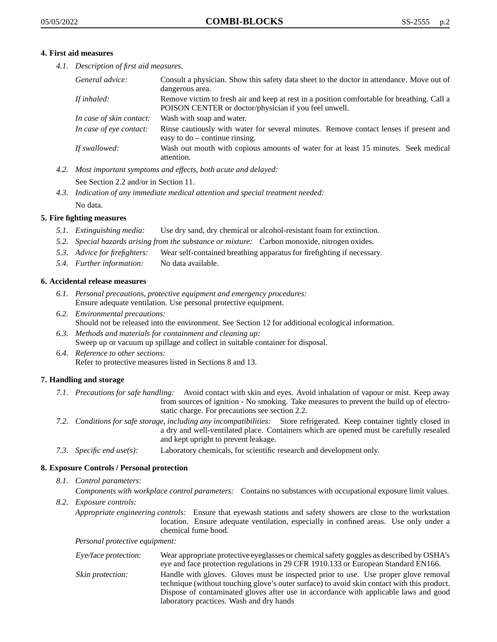#### **4. First aid measures**

*4.1. Description of first aid measures.*

| General advice:          | Consult a physician. Show this safety data sheet to the doctor in attendance. Move out of<br>dangerous area.                                         |
|--------------------------|------------------------------------------------------------------------------------------------------------------------------------------------------|
| If inhaled:              | Remove victim to fresh air and keep at rest in a position comfortable for breathing. Call a<br>POISON CENTER or doctor/physician if you feel unwell. |
| In case of skin contact: | Wash with soap and water.                                                                                                                            |
| In case of eye contact:  | Rinse cautiously with water for several minutes. Remove contact lenses if present and<br>easy to $do$ – continue rinsing.                            |
| If swallowed:            | Wash out mouth with copious amounts of water for at least 15 minutes. Seek medical<br>attention.                                                     |

*4.2. Most important symptoms and effects, both acute and delayed:*

See Section 2.2 and/or in Section 11.

*4.3. Indication of any immediate medical attention and special treatment needed:* No data.

## **5. Fire fighting measures**

- *5.1. Extinguishing media:* Use dry sand, dry chemical or alcohol-resistant foam for extinction.
- *5.2. Special hazards arising from the substance or mixture:* Carbon monoxide, nitrogen oxides.
- *5.3. Advice for firefighters:* Wear self-contained breathing apparatus for firefighting if necessary.
- *5.4. Further information:* No data available.

## **6. Accidental release measures**

- *6.1. Personal precautions, protective equipment and emergency procedures:* Ensure adequate ventilation. Use personal protective equipment.
- *6.2. Environmental precautions:* Should not be released into the environment. See Section 12 for additional ecological information.
- *6.3. Methods and materials for containment and cleaning up:* Sweep up or vacuum up spillage and collect in suitable container for disposal.
- *6.4. Reference to other sections:* Refer to protective measures listed in Sections 8 and 13.

## **7. Handling and storage**

- *7.1. Precautions for safe handling:* Avoid contact with skin and eyes. Avoid inhalation of vapour or mist. Keep away from sources of ignition - No smoking. Take measures to prevent the build up of electrostatic charge. For precautions see section 2.2.
- *7.2. Conditions for safe storage, including any incompatibilities:* Store refrigerated. Keep container tightly closed in a dry and well-ventilated place. Containers which are opened must be carefully resealed and kept upright to prevent leakage.
- *7.3. Specific end use(s):* Laboratory chemicals, for scientific research and development only.

## **8. Exposure Controls / Personal protection**

## *8.1. Control parameters:*

*Components with workplace control parameters:* Contains no substances with occupational exposure limit values.

*8.2. Exposure controls:*

*Appropriate engineering controls:* Ensure that eyewash stations and safety showers are close to the workstation location. Ensure adequate ventilation, especially in confined areas. Use only under a chemical fume hood.

*Personal protective equipment:*

| Eye/face protection: | Wear appropriate protective eyeglasses or chemical safety goggles as described by OSHA's<br>eye and face protection regulations in 29 CFR 1910.133 or European Standard EN166.                                                                                                                                         |
|----------------------|------------------------------------------------------------------------------------------------------------------------------------------------------------------------------------------------------------------------------------------------------------------------------------------------------------------------|
| Skin protection:     | Handle with gloves. Gloves must be inspected prior to use. Use proper glove removal<br>technique (without touching glove's outer surface) to avoid skin contact with this product.<br>Dispose of contaminated gloves after use in accordance with applicable laws and good<br>laboratory practices. Wash and dry hands |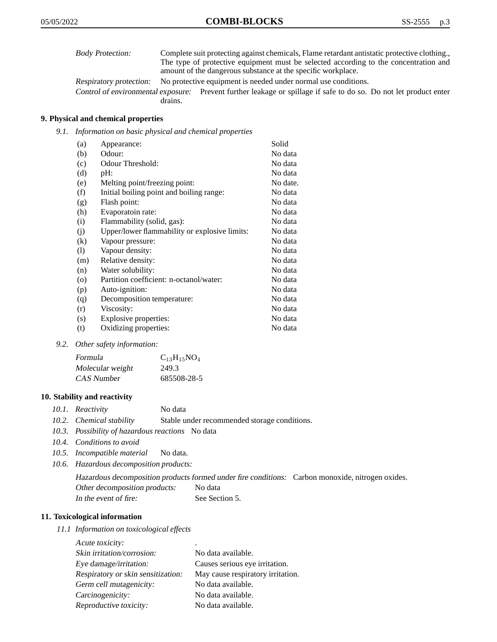| <b>Body Protection:</b> | Complete suit protecting against chemicals, Flame retardant antistatic protective clothing. |
|-------------------------|---------------------------------------------------------------------------------------------|
|                         | The type of protective equipment must be selected according to the concentration and        |
|                         | amount of the dangerous substance at the specific workplace.                                |

Respiratory protection: No protective equipment is needed under normal use conditions.

Control of environmental exposure: Prevent further leakage or spillage if safe to do so. Do not let product enter drains.

## **9. Physical and chemical properties**

*9.1. Information on basic physical and chemical properties*

| (a)     | Appearance:                                   | Solid    |
|---------|-----------------------------------------------|----------|
| (b)     | Odour:                                        | No data  |
| (c)     | Odour Threshold:                              | No data  |
| (d)     | pH:                                           | No data  |
| (e)     | Melting point/freezing point:                 | No date. |
| (f)     | Initial boiling point and boiling range:      | No data  |
| (g)     | Flash point:                                  | No data  |
| (h)     | Evaporatoin rate:                             | No data  |
| (i)     | Flammability (solid, gas):                    | No data  |
| (j)     | Upper/lower flammability or explosive limits: | No data  |
| (k)     | Vapour pressure:                              | No data  |
| (1)     | Vapour density:                               | No data  |
| (m)     | Relative density:                             | No data  |
| (n)     | Water solubility:                             | No data  |
| $\circ$ | Partition coefficient: n-octanol/water:       | No data  |
| (p)     | Auto-ignition:                                | No data  |
| (q)     | Decomposition temperature:                    | No data  |
| (r)     | Viscosity:                                    | No data  |
| (s)     | Explosive properties:                         | No data  |
| (t)     | Oxidizing properties:                         | No data  |

*9.2. Other safety information:*

| Formula          | $C_{13}H_{15}NO_4$ |
|------------------|--------------------|
| Molecular weight | 249.3              |
| CAS Number       | 685508-28-5        |

#### **10. Stability and reactivity**

|  | 10.1. Reactivity | No data |
|--|------------------|---------|
|--|------------------|---------|

- *10.2. Chemical stability* Stable under recommended storage conditions.
- *10.3. Possibility of hazardous reactions* No data
- *10.4. Conditions to avoid*
- *10.5. Incompatible material* No data.
- *10.6. Hazardous decomposition products:*

Hazardous decomposition products formed under fire conditions: Carbon monoxide, nitrogen oxides. Other decomposition products: No data In the event of fire: See Section 5.

#### **11. Toxicological information**

*11.1 Information on toxicological effects*

| Acute toxicity:                    | ٠                                 |
|------------------------------------|-----------------------------------|
| Skin irritation/corrosion:         | No data available.                |
| Eye damage/irritation:             | Causes serious eye irritation.    |
| Respiratory or skin sensitization: | May cause respiratory irritation. |
| Germ cell mutagenicity:            | No data available.                |
| Carcinogenicity:                   | No data available.                |
| Reproductive toxicity:             | No data available.                |